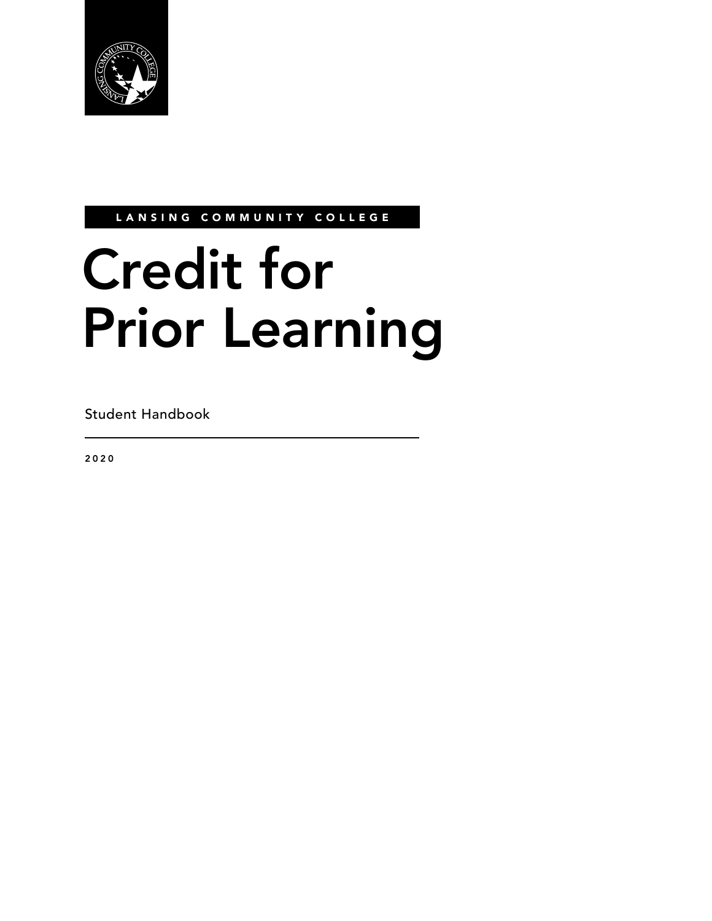

LANSING COMMUNITY COLLEGE

# Credit for Prior Learning

Student Handbook

2020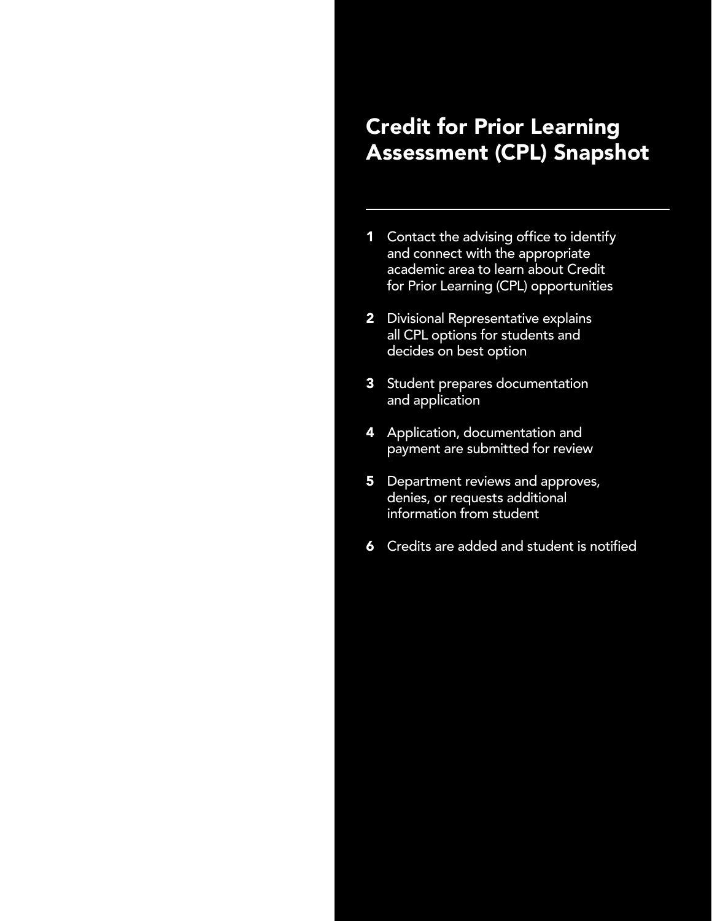# Credit for Prior Learning Assessment (CPL) Snapshot

- 1 Contact the advising office to identify and connect with the appropriate academic area to learn about Credit for Prior Learning (CPL) opportunities
- 2 Divisional Representative explains all CPL options for students and decides on best option
- 3 Student prepares documentation and application
- 4 Application, documentation and payment are submitted for review
- **5** Department reviews and approves, denies, or requests additional information from student
- **6** Credits are added and student is notified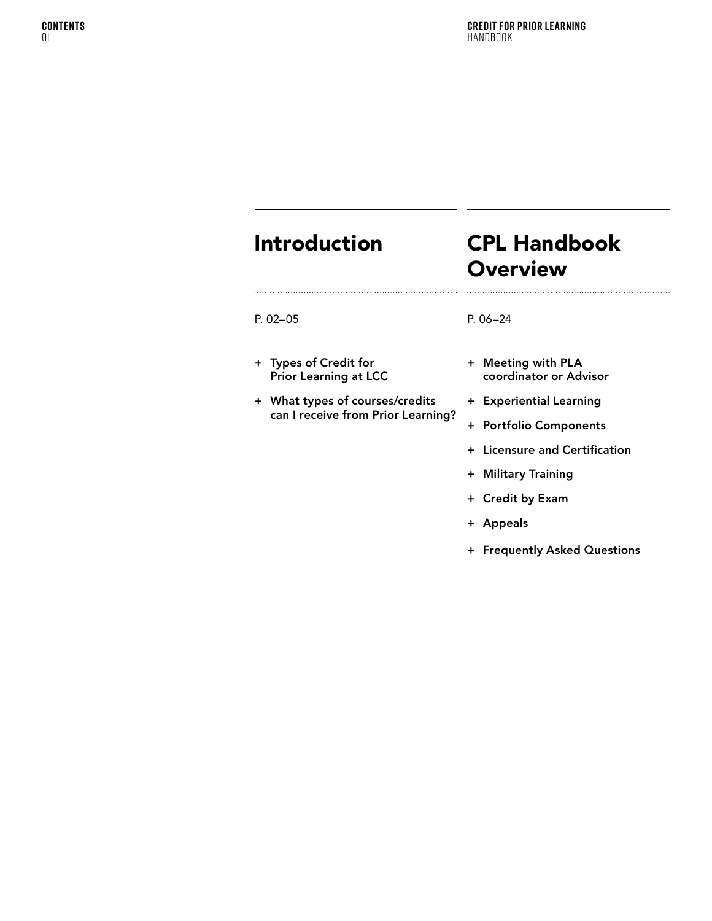# Introduction

P. [02](#page-3-0)–[05](#page-6-0)

+ Types of Credit for Prior Learning at LCC

+ [What types of courses/credits](#page-6-0)  [can I receive from Prior Learning?](#page-6-0)

# CPL Handbook **Overview**

#### P. [06](#page-7-0)[–24](#page-25-0)

- + [Meeting with PLA](#page-8-0)  [coordinator or Advisor](#page-8-0)
- + [Experiential Learning](#page-11-0)
- + [Portfolio Components](#page-17-0)
- + [Licensure and Certification](#page-19-0)
- + [Military Training](#page-22-0)
- + [Credit by Exam](#page-23-0)
- + [Appeals](#page-24-0)
- + [Frequently Asked Questions](#page-25-0)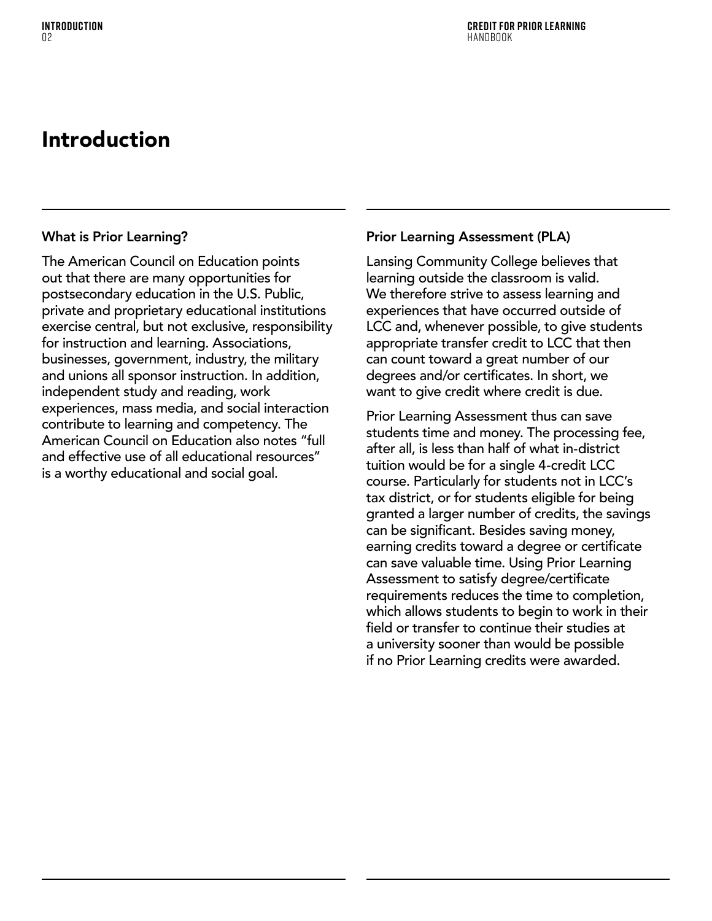# <span id="page-3-0"></span>Introduction

### What is Prior Learning?

The American Council on Education points out that there are many opportunities for postsecondary education in the U.S. Public, private and proprietary educational institutions exercise central, but not exclusive, responsibility for instruction and learning. Associations, businesses, government, industry, the military and unions all sponsor instruction. In addition, independent study and reading, work experiences, mass media, and social interaction contribute to learning and competency. The American Council on Education also notes "full and effective use of all educational resources" is a worthy educational and social goal.

### Prior Learning Assessment (PLA)

Lansing Community College believes that learning outside the classroom is valid. We therefore strive to assess learning and experiences that have occurred outside of LCC and, whenever possible, to give students appropriate transfer credit to LCC that then can count toward a great number of our degrees and/or certificates. In short, we want to give credit where credit is due.

Prior Learning Assessment thus can save students time and money. The processing fee, after all, is less than half of what in-district tuition would be for a single 4-credit LCC course. Particularly for students not in LCC's tax district, or for students eligible for being granted a larger number of credits, the savings can be significant. Besides saving money, earning credits toward a degree or certificate can save valuable time. Using Prior Learning Assessment to satisfy degree/certificate requirements reduces the time to completion, which allows students to begin to work in their field or transfer to continue their studies at a university sooner than would be possible if no Prior Learning credits were awarded.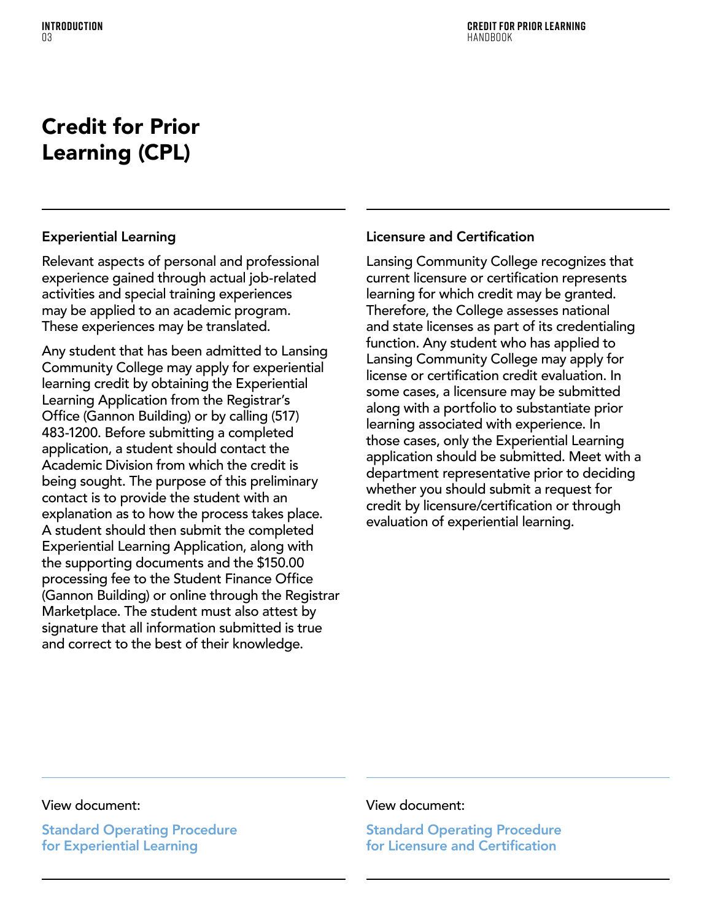# Credit for Prior Learning (CPL)

### Experiential Learning

Relevant aspects of personal and professional experience gained through actual job-related activities and special training experiences may be applied to an academic program. These experiences may be translated.

Any student that has been admitted to Lansing Community College may apply for experiential learning credit by obtaining the Experiential Learning Application from the Registrar's Office (Gannon Building) or by calling (517) 483-1200. Before submitting a completed application, a student should contact the Academic Division from which the credit is being sought. The purpose of this preliminary contact is to provide the student with an explanation as to how the process takes place. A student should then submit the completed Experiential Learning Application, along with the supporting documents and the \$150.00 processing fee to the Student Finance Office (Gannon Building) or online through the Registrar Marketplace. The student must also attest by signature that all information submitted is true and correct to the best of their knowledge.

### Licensure and Certification

Lansing Community College recognizes that current licensure or certification represents learning for which credit may be granted. Therefore, the College assesses national and state licenses as part of its credentialing function. Any student who has applied to Lansing Community College may apply for license or certification credit evaluation. In some cases, a licensure may be submitted along with a portfolio to substantiate prior learning associated with experience. In those cases, only the Experiential Learning application should be submitted. Meet with a department representative prior to deciding whether you should submit a request for credit by licensure/certification or through evaluation of experiential learning.

### View document:

[Standard Operating Procedure](https://lcc.edu/academics/documents/pdf-policies/credit-for-experiential-learning.pdf)  [for Experiential Learning](https://lcc.edu/academics/documents/pdf-policies/credit-for-experiential-learning.pdf)

### View document:

[Standard Operating Procedure](https://www.lcc.edu/academics/documents/pdf-policies/credit-for-licensure-and-certifications-ro.002.pdf)  [for Licensure and Certification](https://www.lcc.edu/academics/documents/pdf-policies/credit-for-licensure-and-certifications-ro.002.pdf)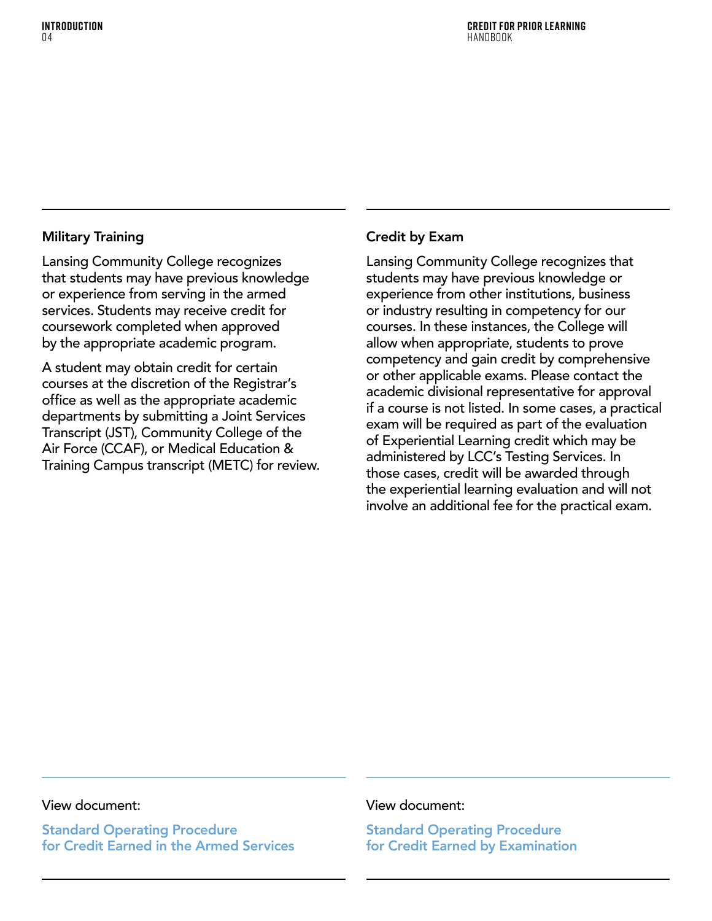### Military Training

Lansing Community College recognizes that students may have previous knowledge or experience from serving in the armed services. Students may receive credit for coursework completed when approved by the appropriate academic program.

A student may obtain credit for certain courses at the discretion of the Registrar's office as well as the appropriate academic departments by submitting a Joint Services Transcript (JST), Community College of the Air Force (CCAF), or Medical Education & Training Campus transcript (METC) for review.

### Credit by Exam

Lansing Community College recognizes that students may have previous knowledge or experience from other institutions, business or industry resulting in competency for our courses. In these instances, the College will allow when appropriate, students to prove competency and gain credit by comprehensive or other applicable exams. Please contact the academic divisional representative for approval if a course is not listed. In some cases, a practical exam will be required as part of the evaluation of Experiential Learning credit which may be administered by LCC's Testing Services. In those cases, credit will be awarded through the experiential learning evaluation and will not involve an additional fee for the practical exam.

#### View document:

Standard Operating Procedure for Credit Earned in the Armed Services

### View document:

[Standard Operating Procedure](https://www.lcc.edu/academics/documents/pdf-policies/credit-by-examination-ro.012.pdf )  [for Credit Earned by Examination](https://www.lcc.edu/academics/documents/pdf-policies/credit-by-examination-ro.012.pdf )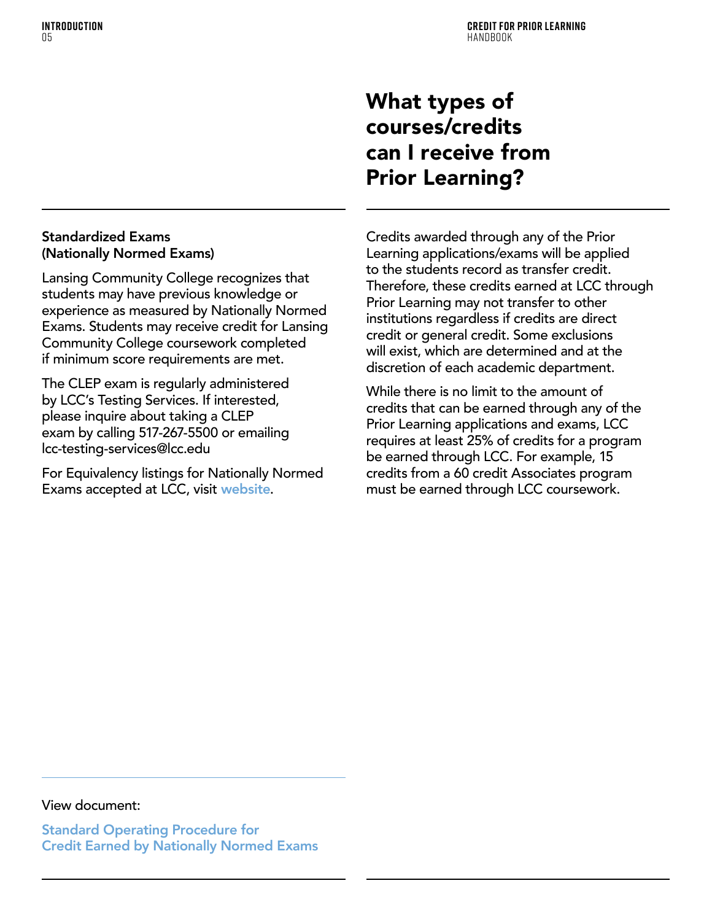# <span id="page-6-0"></span>What types of courses/credits can I receive from Prior Learning?

### Standardized Exams (Nationally Normed Exams)

Lansing Community College recognizes that students may have previous knowledge or experience as measured by Nationally Normed Exams. Students may receive credit for Lansing Community College coursework completed if minimum score requirements are met.

The CLEP exam is regularly administered by LCC's Testing Services. If interested, please inquire about taking a CLEP exam by calling 517-267-5500 or emailing lcc-testing-services@lcc.edu

For Equivalency listings for Nationally Normed Exams accepted at LCC, visit [website](https://www.lcc.edu/academics/transfer/equivalencies/index.html)).

Credits awarded through any of the Prior Learning applications/exams will be applied to the students record as transfer credit. Therefore, these credits earned at LCC through Prior Learning may not transfer to other institutions regardless if credits are direct credit or general credit. Some exclusions will exist, which are determined and at the discretion of each academic department.

While there is no limit to the amount of credits that can be earned through any of the Prior Learning applications and exams, LCC requires at least 25% of credits for a program be earned through LCC. For example, 15 credits from a 60 credit Associates program must be earned through LCC coursework.

### View document:

[Standard Operating Procedure for](https://lcc.edu/academics/documents/pdf-policies/credits-earned-from-national-normed-exams- ro.005.pdf )  [Credit Earned by Nationally Normed Exams](https://lcc.edu/academics/documents/pdf-policies/credits-earned-from-national-normed-exams- ro.005.pdf )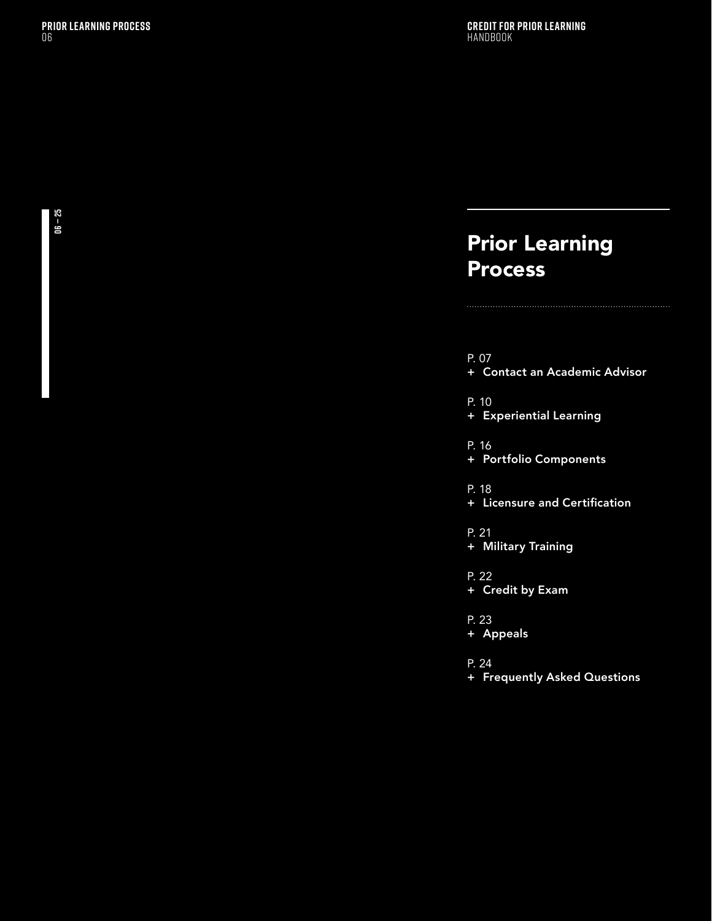# <span id="page-7-0"></span>Prior Learning **Process**

### P. [07](#page-8-0)

+ Contact an Academic Advisor

P. [10](#page-11-0)

+ [Experiential Learning](#page-11-0)

P. [16](#page-17-0)

+ [Portfolio Components](#page-17-0)

P. [18](#page-19-0)

+ [Licensure and Certification](#page-19-0)

P. [21](#page-22-0)

+ [Military Training](#page-22-0)

P. [22](#page-23-0)

+ [Credit by Exam](#page-23-0)

P. [23](#page-24-0)

+ [Appeals](#page-24-0)

P. [24](#page-25-0)

+ [Frequently Asked Questions](#page-25-0)

**06 — 25**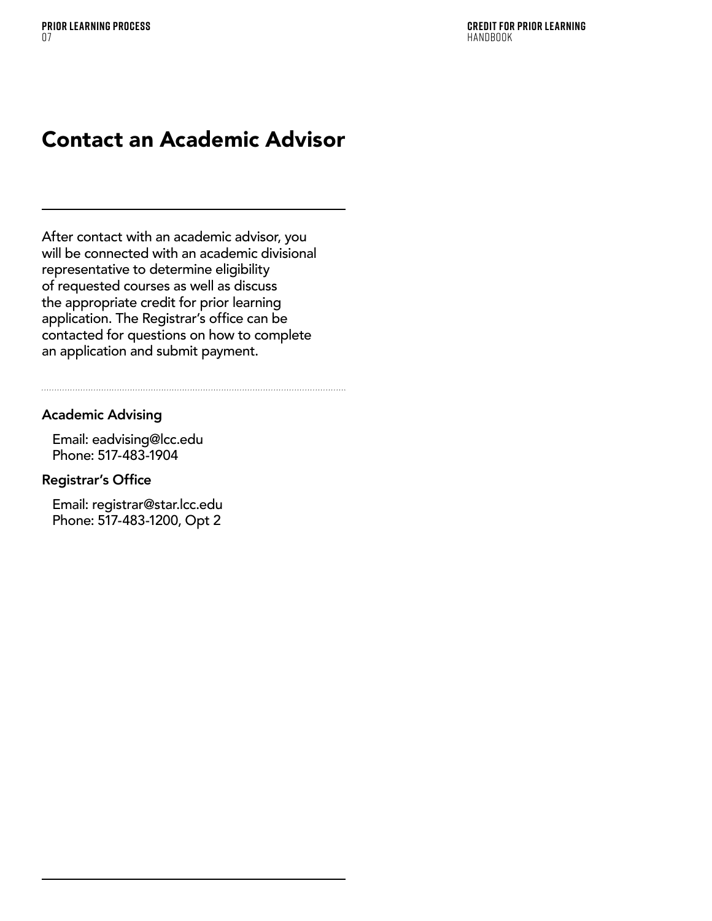# <span id="page-8-0"></span>Contact an Academic Advisor

After contact with an academic advisor, you will be connected with an academic divisional representative to determine eligibility of requested courses as well as discuss the appropriate credit for prior learning application. The Registrar's office can be contacted for questions on how to complete an application and submit payment.

### Academic Advising

Email: eadvising@lcc.edu Phone: 517-483-1904

### Registrar's Office

Email: registrar@star.lcc.edu Phone: 517-483-1200, Opt 2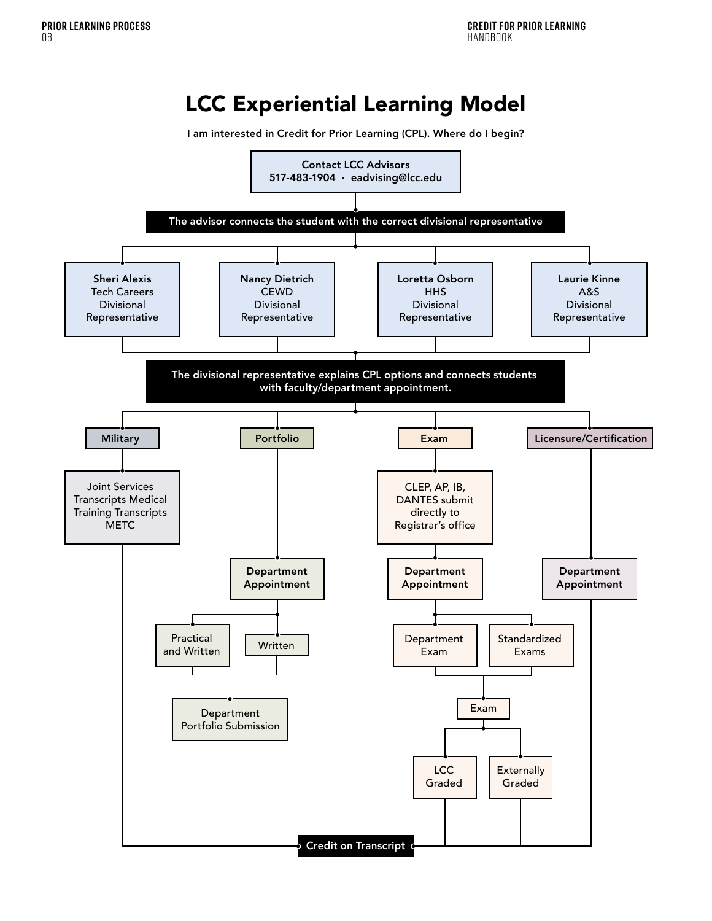# LCC Experiential Learning Model

I am interested in Credit for Prior Learning (CPL). Where do I begin?

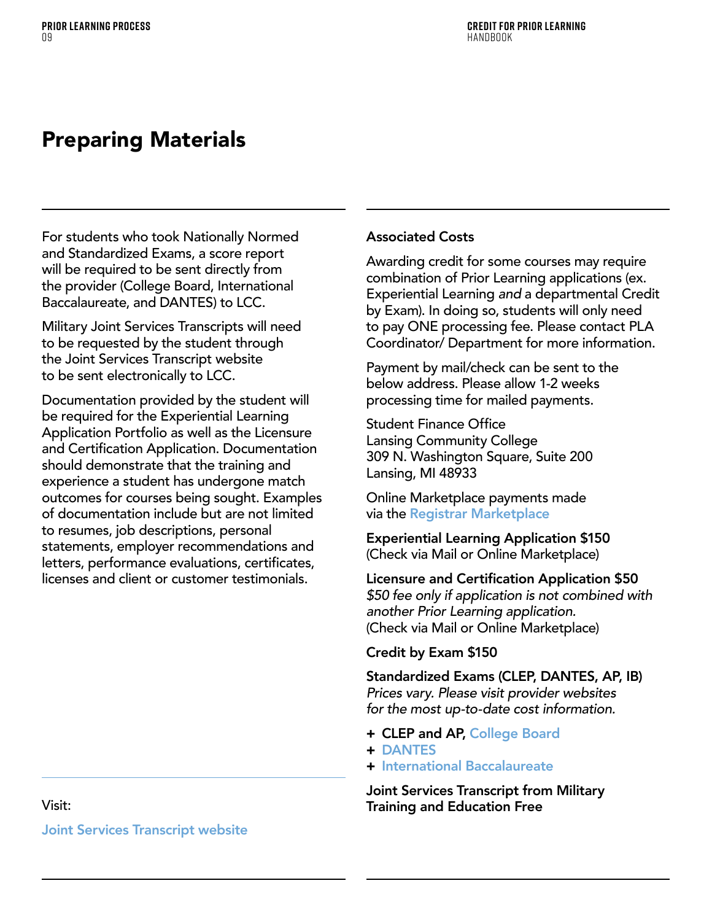# Preparing Materials

For students who took Nationally Normed and Standardized Exams, a score report will be required to be sent directly from the provider (College Board, International Baccalaureate, and DANTES) to LCC.

Military Joint Services Transcripts will need to be requested by the student through the Joint Services Transcript website to be sent electronically to LCC.

Documentation provided by the student will be required for the Experiential Learning Application Portfolio as well as the Licensure and Certification Application. Documentation should demonstrate that the training and experience a student has undergone match outcomes for courses being sought. Examples of documentation include but are not limited to resumes, job descriptions, personal statements, employer recommendations and letters, performance evaluations, certificates, licenses and client or customer testimonials.

### Associated Costs

Awarding credit for some courses may require combination of Prior Learning applications (ex. Experiential Learning *and* a departmental Credit by Exam). In doing so, students will only need to pay ONE processing fee. Please contact PLA Coordinator/ Department for more information.

Payment by mail/check can be sent to the below address. Please allow 1-2 weeks processing time for mailed payments.

Student Finance Office Lansing Community College 309 N. Washington Square, Suite 200 Lansing, MI 48933

Online Marketplace payments made via the [Registrar Marketplace](https://secure.touchnet.com/C20118_ustores/web/store_main.jsp?STOREID=46&SINGLESTORE=true)

Experiential Learning Application \$150 (Check via Mail or Online Marketplace)

Licensure and Certification Application \$50 *\$50 fee only if application is not combined with another Prior Learning application.* (Check via Mail or Online Marketplace)

### Credit by Exam \$150

Standardized Exams (CLEP, DANTES, AP, IB) *Prices vary. Please visit provider websites for the most up-to-date cost information.*

- + CLEP and AP, [College Board](https://www.collegeboard.org/)
- + [DANTES](https://www.dantes.doded.mil/)
- + [International Baccalaureate](https://www.ibo.org/)

Joint Services Transcript from Military Training and Education Free

### Visit:

[Joint Services Transcript website](https://jst.doded.mil/)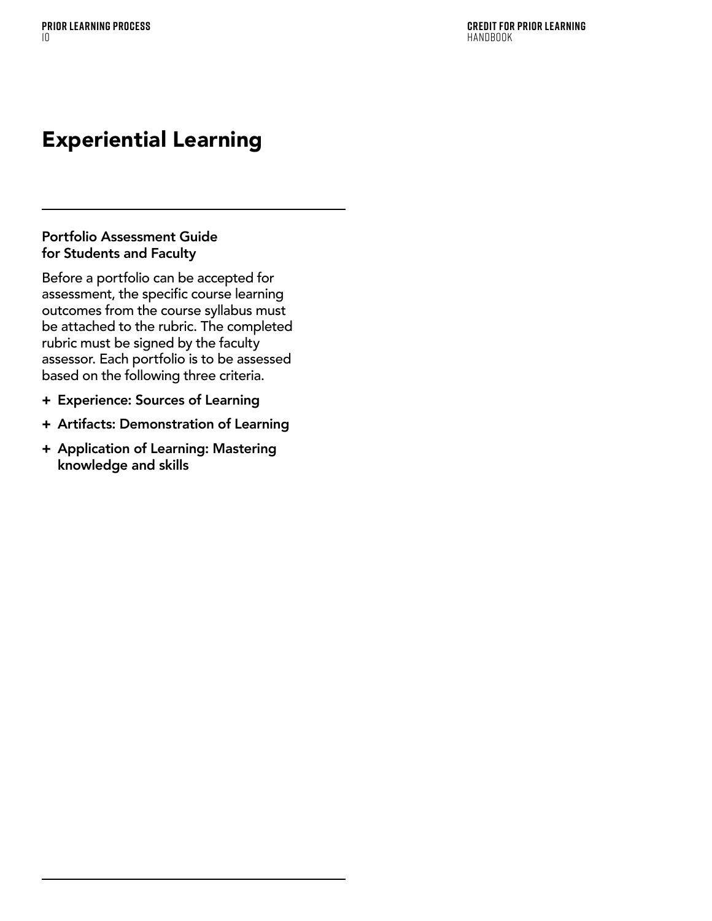# <span id="page-11-0"></span>Experiential Learning

### Portfolio Assessment Guide for Students and Faculty

Before a portfolio can be accepted for assessment, the specific course learning outcomes from the course syllabus must be attached to the rubric. The completed rubric must be signed by the faculty assessor. Each portfolio is to be assessed based on the following three criteria.

- + Experience: Sources of Learning
- + Artifacts: Demonstration of Learning
- + Application of Learning: Mastering knowledge and skills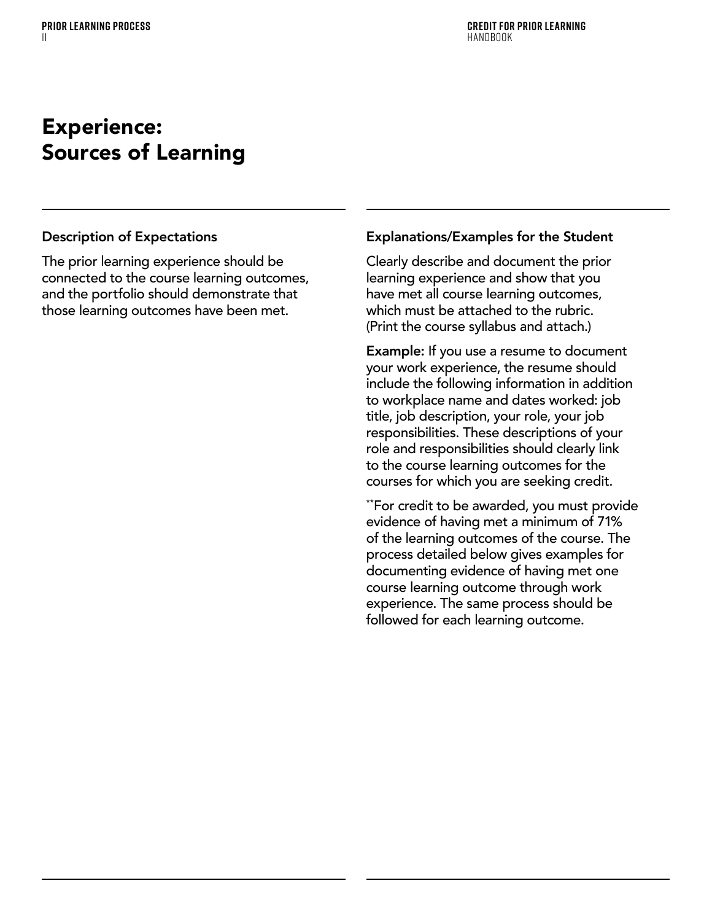### Experience: Sources of Learning

### Description of Expectations

The prior learning experience should be connected to the course learning outcomes, and the portfolio should demonstrate that those learning outcomes have been met.

### Explanations/Examples for the Student

Clearly describe and document the prior learning experience and show that you have met all course learning outcomes, which must be attached to the rubric. (Print the course syllabus and attach.)

Example: If you use a resume to document your work experience, the resume should include the following information in addition to workplace name and dates worked: job title, job description, your role, your job responsibilities. These descriptions of your role and responsibilities should clearly link to the course learning outcomes for the courses for which you are seeking credit.

\*\*For credit to be awarded, you must provide evidence of having met a minimum of 71% of the learning outcomes of the course. The process detailed below gives examples for documenting evidence of having met one course learning outcome through work experience. The same process should be followed for each learning outcome.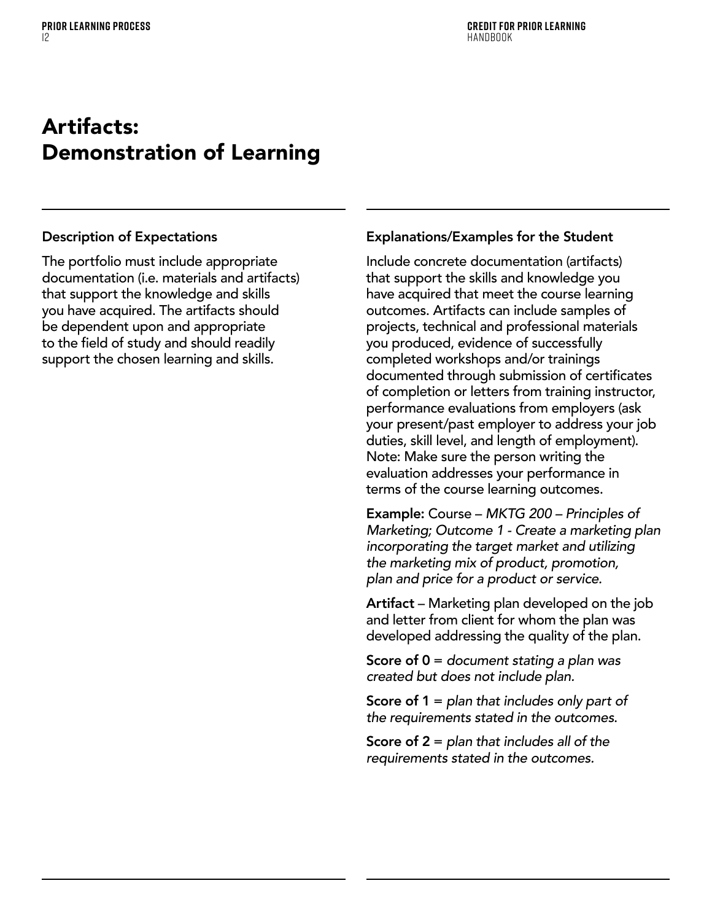# Artifacts: Demonstration of Learning

### Description of Expectations

The portfolio must include appropriate documentation (i.e. materials and artifacts) that support the knowledge and skills you have acquired. The artifacts should be dependent upon and appropriate to the field of study and should readily support the chosen learning and skills.

### Explanations/Examples for the Student

Include concrete documentation (artifacts) that support the skills and knowledge you have acquired that meet the course learning outcomes. Artifacts can include samples of projects, technical and professional materials you produced, evidence of successfully completed workshops and/or trainings documented through submission of certificates of completion or letters from training instructor, performance evaluations from employers (ask your present/past employer to address your job duties, skill level, and length of employment). Note: Make sure the person writing the evaluation addresses your performance in terms of the course learning outcomes.

Example: Course – *MKTG 200 – Principles of Marketing; Outcome 1 - Create a marketing plan incorporating the target market and utilizing the marketing mix of product, promotion, plan and price for a product or service.*

Artifact – Marketing plan developed on the job and letter from client for whom the plan was developed addressing the quality of the plan.

Score of 0 = *document stating a plan was created but does not include plan.*

Score of 1 = *plan that includes only part of the requirements stated in the outcomes*.

Score of 2 = *plan that includes all of the requirements stated in the outcomes.*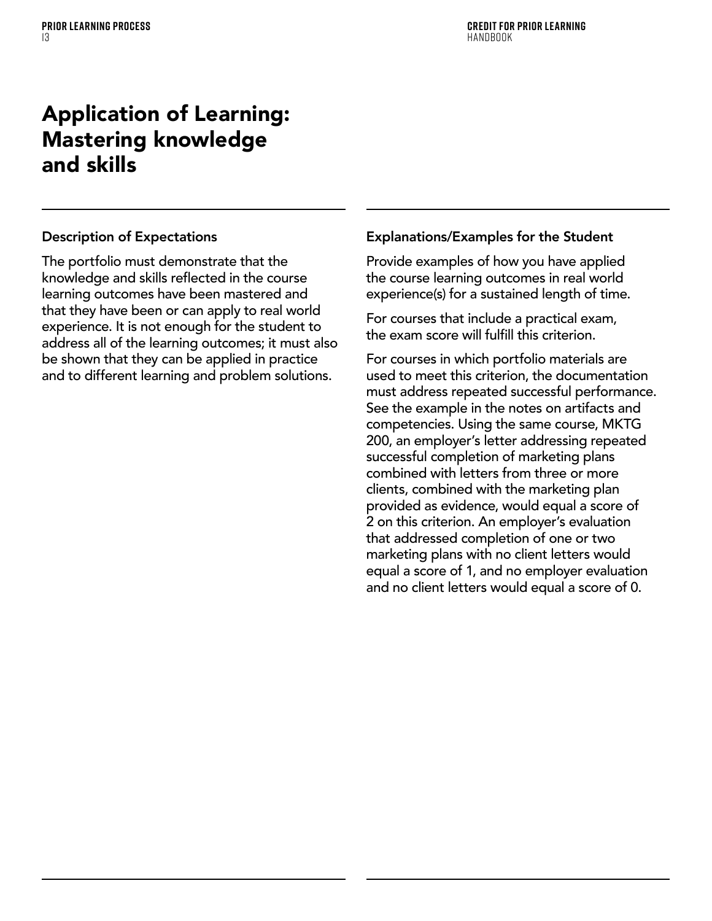# Application of Learning: Mastering knowledge and skills

### Description of Expectations

The portfolio must demonstrate that the knowledge and skills reflected in the course learning outcomes have been mastered and that they have been or can apply to real world experience. It is not enough for the student to address all of the learning outcomes; it must also be shown that they can be applied in practice and to different learning and problem solutions.

### Explanations/Examples for the Student

Provide examples of how you have applied the course learning outcomes in real world experience(s) for a sustained length of time.

For courses that include a practical exam, the exam score will fulfill this criterion.

For courses in which portfolio materials are used to meet this criterion, the documentation must address repeated successful performance. See the example in the notes on artifacts and competencies. Using the same course, MKTG 200, an employer's letter addressing repeated successful completion of marketing plans combined with letters from three or more clients, combined with the marketing plan provided as evidence, would equal a score of 2 on this criterion. An employer's evaluation that addressed completion of one or two marketing plans with no client letters would equal a score of 1, and no employer evaluation and no client letters would equal a score of 0.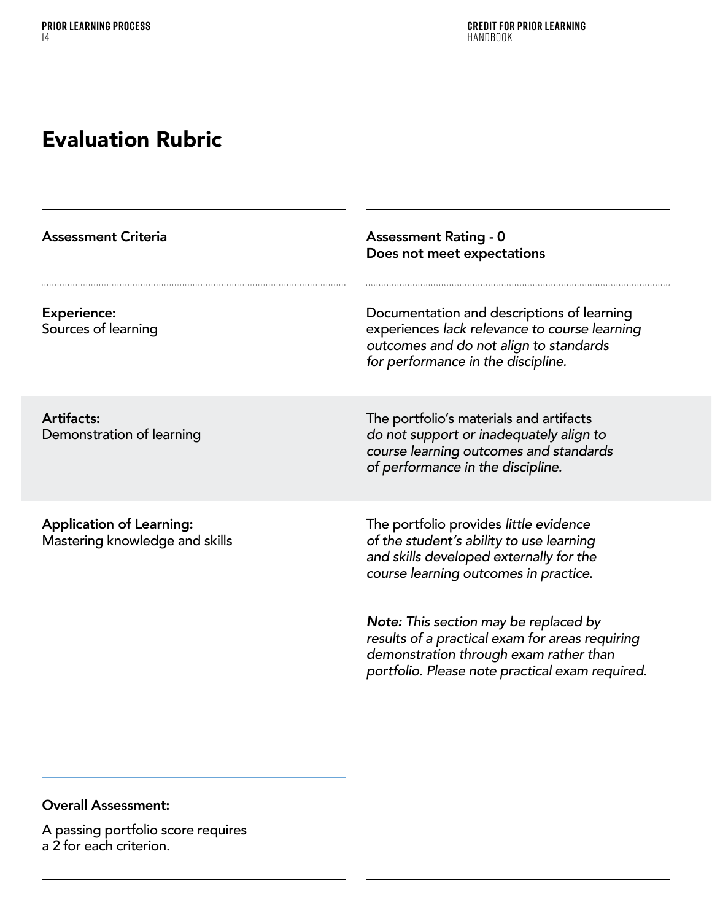# Evaluation Rubric

| <b>Assessment Criteria</b>                                        | <b>Assessment Rating - 0</b><br>Does not meet expectations                                                                                                                            |
|-------------------------------------------------------------------|---------------------------------------------------------------------------------------------------------------------------------------------------------------------------------------|
| <b>Experience:</b><br>Sources of learning                         | Documentation and descriptions of learning<br>experiences lack relevance to course learning<br>outcomes and do not align to standards<br>for performance in the discipline.           |
| <b>Artifacts:</b><br>Demonstration of learning                    | The portfolio's materials and artifacts<br>do not support or inadequately align to<br>course learning outcomes and standards<br>of performance in the discipline.                     |
| <b>Application of Learning:</b><br>Mastering knowledge and skills | The portfolio provides little evidence<br>of the student's ability to use learning<br>and skills developed externally for the<br>course learning outcomes in practice.                |
|                                                                   | Note: This section may be replaced by<br>results of a practical exam for areas requiring<br>demonstration through exam rather than<br>portfolio. Please note practical exam required. |

### Overall Assessment:

A passing portfolio score requires a 2 for each criterion.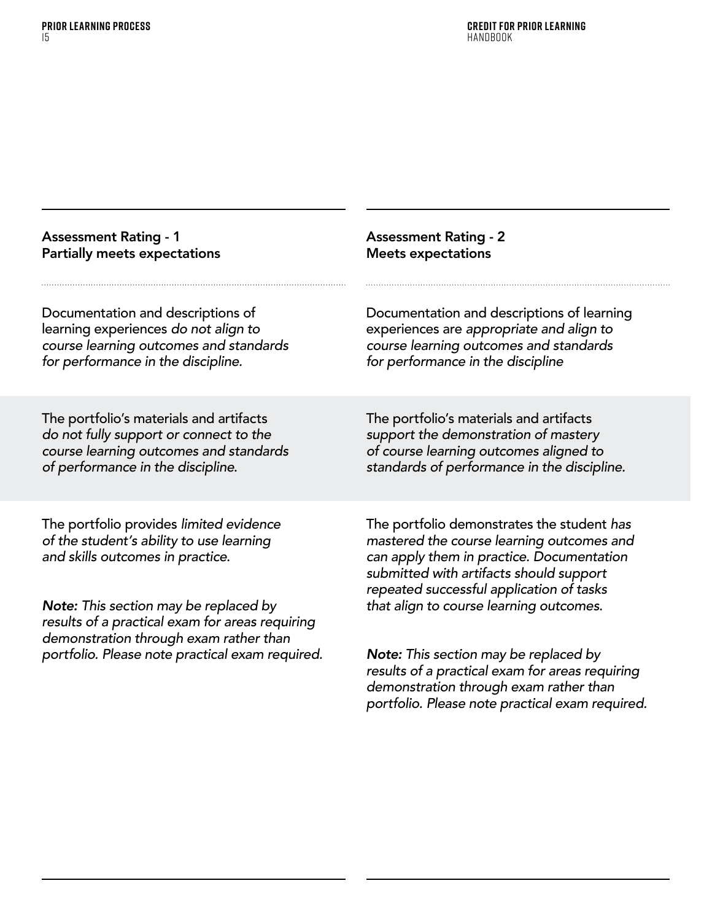| <b>Assessment Rating - 1</b>                                                                                                                                                                 | <b>Assessment Rating - 2</b>                                                                                                                                                                                                |
|----------------------------------------------------------------------------------------------------------------------------------------------------------------------------------------------|-----------------------------------------------------------------------------------------------------------------------------------------------------------------------------------------------------------------------------|
| <b>Partially meets expectations</b>                                                                                                                                                          | <b>Meets expectations</b>                                                                                                                                                                                                   |
| Documentation and descriptions of                                                                                                                                                            | Documentation and descriptions of learning                                                                                                                                                                                  |
| learning experiences do not align to                                                                                                                                                         | experiences are appropriate and align to                                                                                                                                                                                    |
| course learning outcomes and standards                                                                                                                                                       | course learning outcomes and standards                                                                                                                                                                                      |
| for performance in the discipline.                                                                                                                                                           | for performance in the discipline                                                                                                                                                                                           |
| The portfolio's materials and artifacts                                                                                                                                                      | The portfolio's materials and artifacts                                                                                                                                                                                     |
| do not fully support or connect to the                                                                                                                                                       | support the demonstration of mastery                                                                                                                                                                                        |
| course learning outcomes and standards                                                                                                                                                       | of course learning outcomes aligned to                                                                                                                                                                                      |
| of performance in the discipline.                                                                                                                                                            | standards of performance in the discipline.                                                                                                                                                                                 |
| The portfolio provides limited evidence<br>of the student's ability to use learning<br>and skills outcomes in practice.                                                                      | The portfolio demonstrates the student has<br>mastered the course learning outcomes and<br>can apply them in practice. Documentation<br>submitted with artifacts should support<br>repeated successful application of tasks |
| <b>Note:</b> This section may be replaced by<br>results of a practical exam for areas requiring<br>demonstration through exam rather than<br>portfolio. Please note practical exam required. | that align to course learning outcomes.<br>Note: This section may be replaced by                                                                                                                                            |

*results of a practical exam for areas requiring demonstration through exam rather than portfolio. Please note practical exam required.*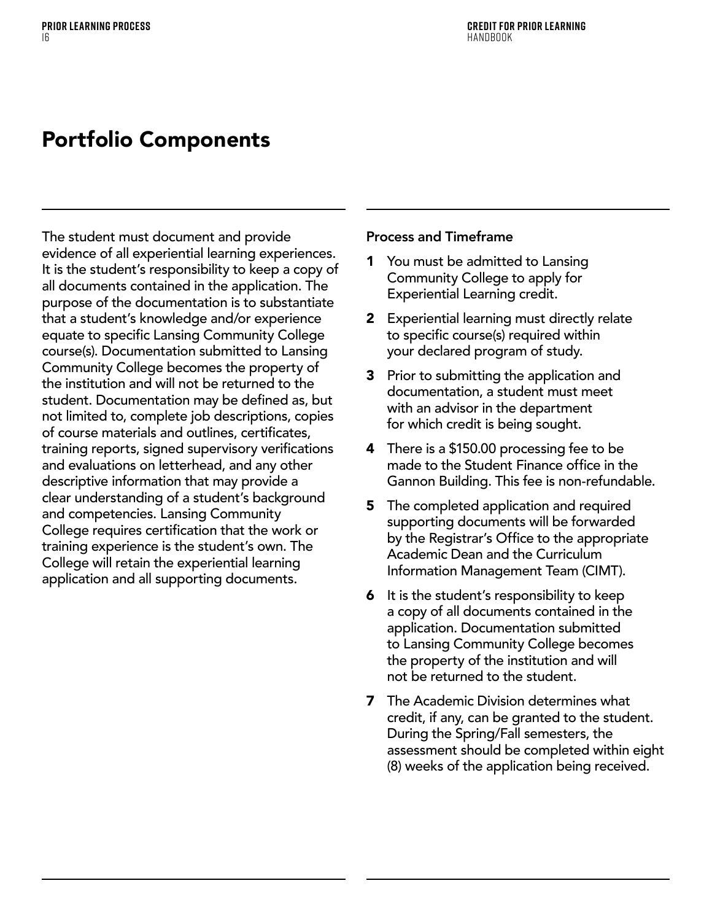# <span id="page-17-0"></span>Portfolio Components

The student must document and provide evidence of all experiential learning experiences. It is the student's responsibility to keep a copy of all documents contained in the application. The purpose of the documentation is to substantiate that a student's knowledge and/or experience equate to specific Lansing Community College course(s). Documentation submitted to Lansing Community College becomes the property of the institution and will not be returned to the student. Documentation may be defined as, but not limited to, complete job descriptions, copies of course materials and outlines, certificates, training reports, signed supervisory verifications and evaluations on letterhead, and any other descriptive information that may provide a clear understanding of a student's background and competencies. Lansing Community College requires certification that the work or training experience is the student's own. The College will retain the experiential learning application and all supporting documents.

### Process and Timeframe

- 1 You must be admitted to Lansing Community College to apply for Experiential Learning credit.
- 2 Experiential learning must directly relate to specific course(s) required within your declared program of study.
- **3** Prior to submitting the application and documentation, a student must meet with an advisor in the department for which credit is being sought.
- **4** There is a \$150.00 processing fee to be made to the Student Finance office in the Gannon Building. This fee is non-refundable.
- **5** The completed application and required supporting documents will be forwarded by the Registrar's Office to the appropriate Academic Dean and the Curriculum Information Management Team (CIMT).
- **6** It is the student's responsibility to keep a copy of all documents contained in the application. Documentation submitted to Lansing Community College becomes the property of the institution and will not be returned to the student.
- **7** The Academic Division determines what credit, if any, can be granted to the student. During the Spring/Fall semesters, the assessment should be completed within eight (8) weeks of the application being received.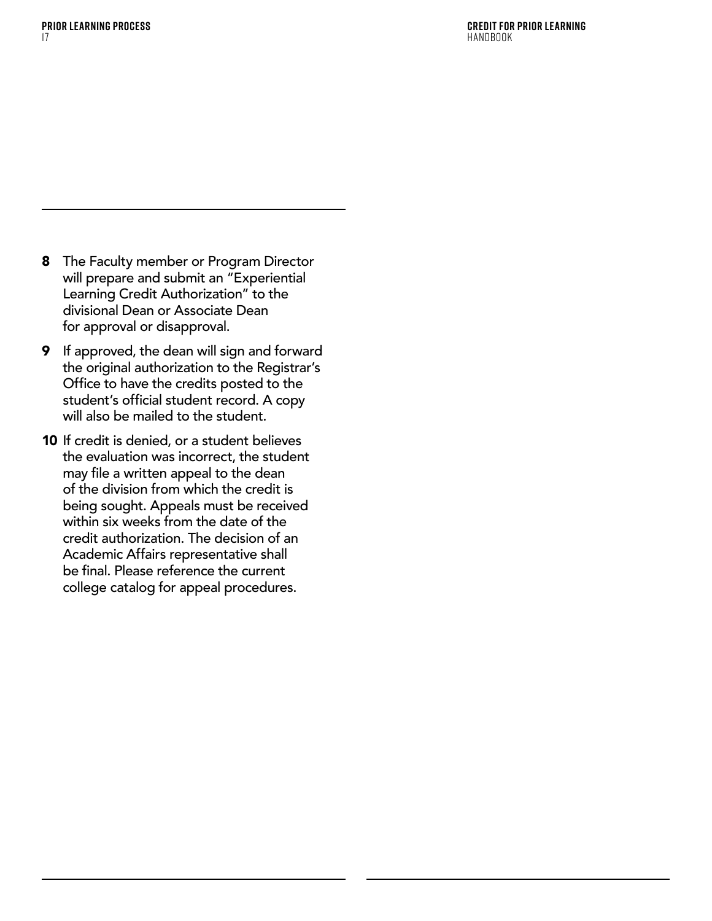- 8 The Faculty member or Program Director will prepare and submit an "Experiential Learning Credit Authorization" to the divisional Dean or Associate Dean for approval or disapproval.
- 9 If approved, the dean will sign and forward the original authorization to the Registrar's Office to have the credits posted to the student's official student record. A copy will also be mailed to the student.
- 10 If credit is denied, or a student believes the evaluation was incorrect, the student may file a written appeal to the dean of the division from which the credit is being sought. Appeals must be received within six weeks from the date of the credit authorization. The decision of an Academic Affairs representative shall be final. Please reference the current college catalog for appeal procedures.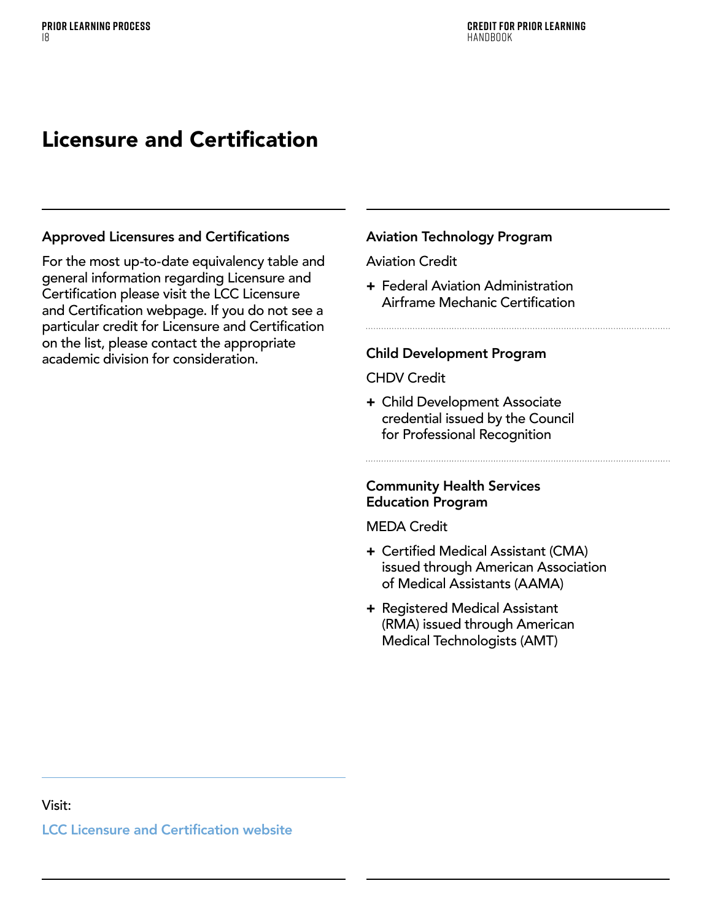# <span id="page-19-0"></span>Licensure and Certification

### Approved Licensures and Certifications

For the most up-to-date equivalency table and general information regarding Licensure and Certification please visit the LCC Licensure and Certification webpage. If you do not see a particular credit for Licensure and Certification on the list, please contact the appropriate academic division for consideration.

### Aviation Technology Program

### Aviation Credit

+ Federal Aviation Administration Airframe Mechanic Certification

### Child Development Program

### CHDV Credit

+ Child Development Associate credential issued by the Council for Professional Recognition

### Community Health Services Education Program

### MEDA Credit

- + Certified Medical Assistant (CMA) issued through American Association of Medical Assistants (AAMA)
- + Registered Medical Assistant (RMA) issued through American Medical Technologists (AMT)

### Visit:

LCC Licensure and Certification [website](https://www.lcc.edu/academics/transfer/equivalencies/licensure-certification.html)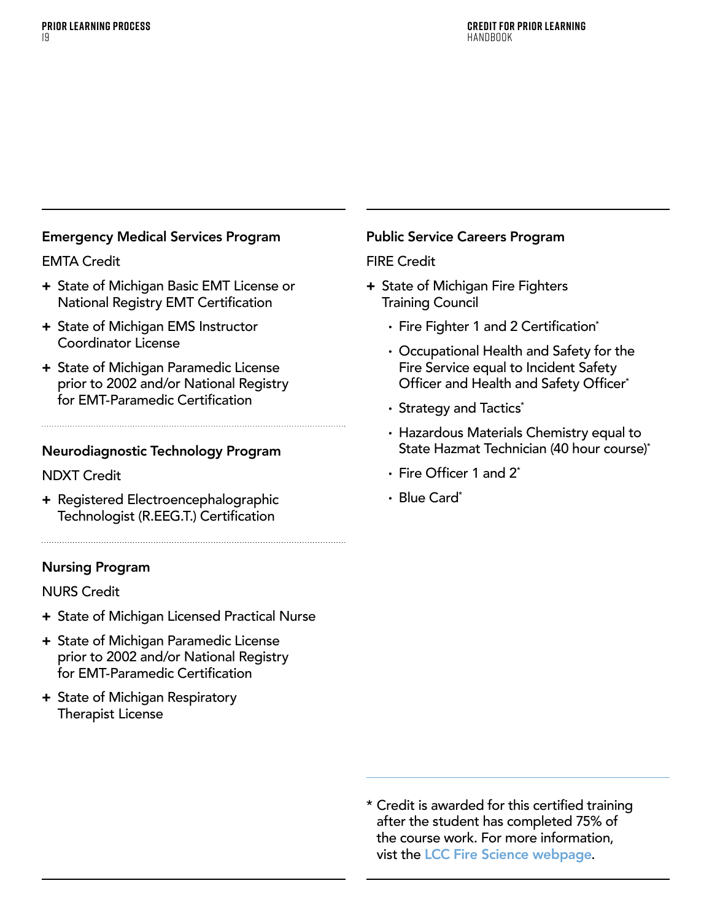### Emergency Medical Services Program

### EMTA Credit

- + State of Michigan Basic EMT License or National Registry EMT Certification
- + State of Michigan EMS Instructor Coordinator License
- + State of Michigan Paramedic License prior to 2002 and/or National Registry for EMT-Paramedic Certification

### Neurodiagnostic Technology Program

### NDXT Credit

+ Registered Electroencephalographic Technologist (R.EEG.T.) Certification

### Nursing Program

### NURS Credit

- + State of Michigan Licensed Practical Nurse
- + State of Michigan Paramedic License prior to 2002 and/or National Registry for EMT-Paramedic Certification
- + State of Michigan Respiratory Therapist License

### Public Service Careers Program

### FIRE Credit

- + State of Michigan Fire Fighters Training Council
	- Fire Fighter 1 and 2 Certification\*
	- · Occupational Health and Safety for the Fire Service equal to Incident Safety Officer and Health and Safety Officer<sup>\*</sup>
	- Strategy and Tactics\*
	- · Hazardous Materials Chemistry equal to State Hazmat Technician (40 hour course)\*
	- · Fire Officer 1 and 2\*
	- · Blue Card\*

\* Credit is awarded for this certified training after the student has completed 75% of the course work. For more information, vist the [LCC Fire Science webpage](https://www.lcc.edu/academics/areas-of-study/health-public-service/fire-science/index.html).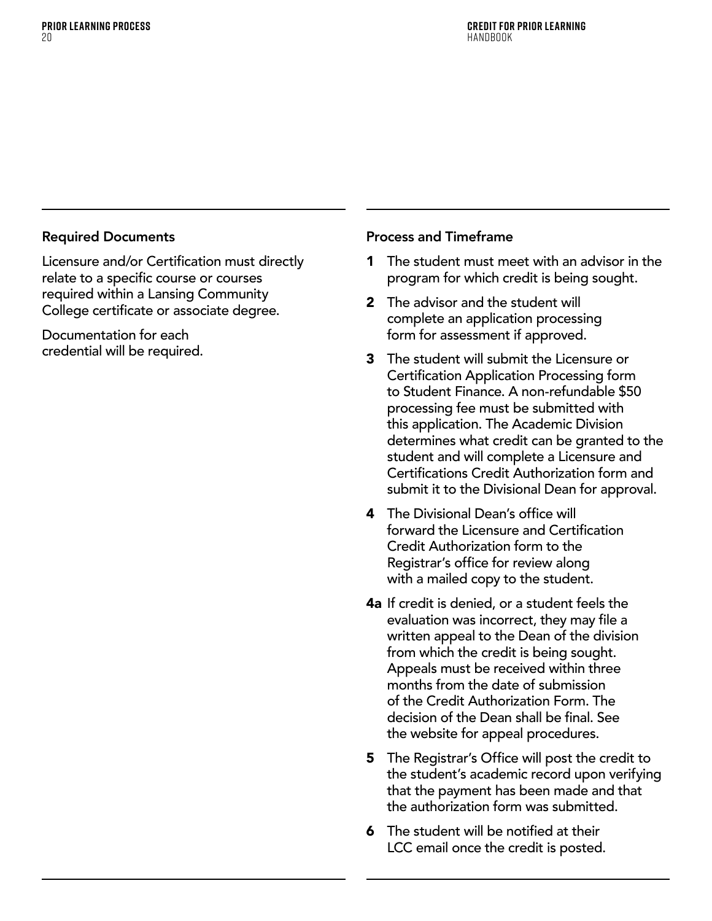### Required Documents

Licensure and/or Certification must directly relate to a specific course or courses required within a Lansing Community College certificate or associate degree.

Documentation for each credential will be required.

### Process and Timeframe

- **1** The student must meet with an advisor in the program for which credit is being sought.
- 2 The advisor and the student will complete an application processing form for assessment if approved.
- 3 The student will submit the Licensure or Certification Application Processing form to Student Finance. A non-refundable \$50 processing fee must be submitted with this application. The Academic Division determines what credit can be granted to the student and will complete a Licensure and Certifications Credit Authorization form and submit it to the Divisional Dean for approval.
- **4** The Divisional Dean's office will forward the Licensure and Certification Credit Authorization form to the Registrar's office for review along with a mailed copy to the student.
- **4a** If credit is denied, or a student feels the evaluation was incorrect, they may file a written appeal to the Dean of the division from which the credit is being sought. Appeals must be received within three months from the date of submission of the Credit Authorization Form. The decision of the Dean shall be final. See the website for appeal procedures.
- **5** The Registrar's Office will post the credit to the student's academic record upon verifying that the payment has been made and that the authorization form was submitted.
- **6** The student will be notified at their LCC email once the credit is posted.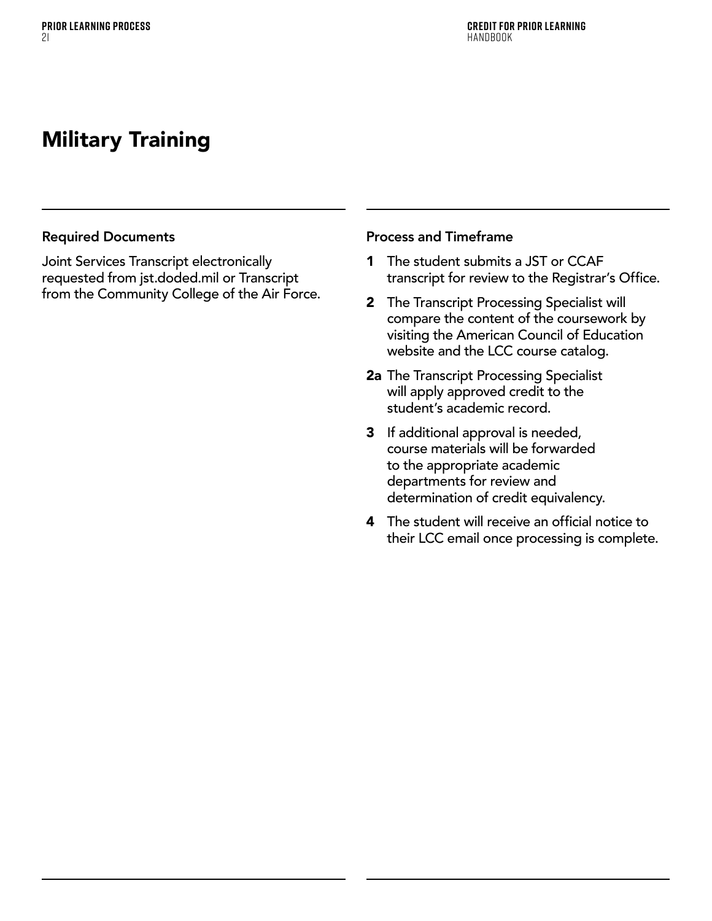# <span id="page-22-0"></span>Military Training

### Required Documents

Joint Services Transcript electronically requested from jst.doded.mil or Transcript from the Community College of the Air Force.

### Process and Timeframe

- 1 The student submits a JST or CCAF transcript for review to the Registrar's Office.
- 2 The Transcript Processing Specialist will compare the content of the coursework by visiting the American Council of Education website and the LCC course catalog.
- 2a The Transcript Processing Specialist will apply approved credit to the student's academic record.
- 3 If additional approval is needed, course materials will be forwarded to the appropriate academic departments for review and determination of credit equivalency.
- **4** The student will receive an official notice to their LCC email once processing is complete.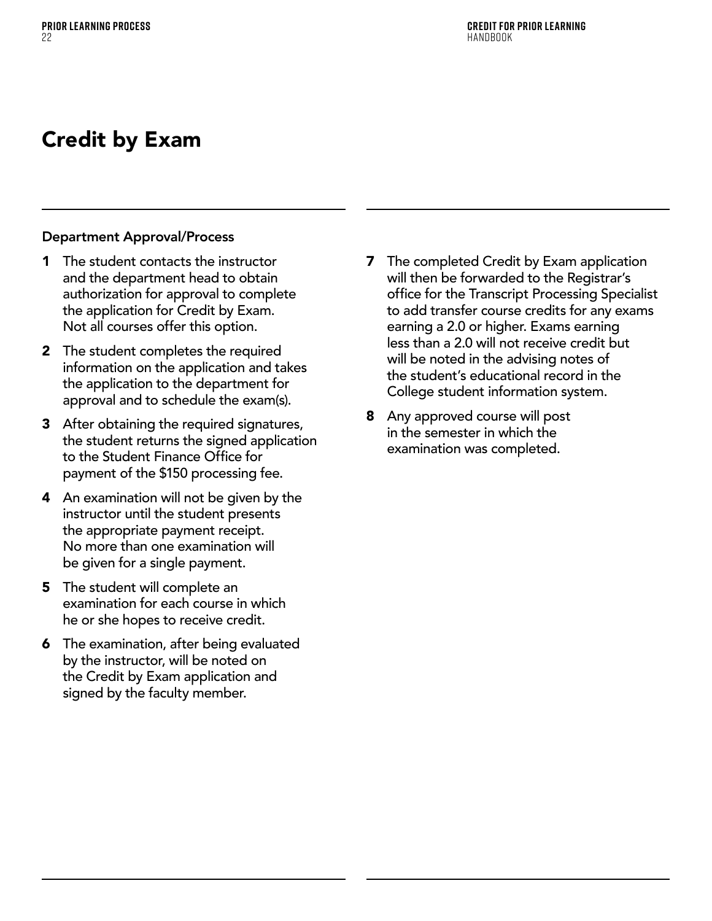# <span id="page-23-0"></span>Credit by Exam

### Department Approval/Process

- 1 The student contacts the instructor and the department head to obtain authorization for approval to complete the application for Credit by Exam. Not all courses offer this option.
- 2 The student completes the required information on the application and takes the application to the department for approval and to schedule the exam(s).
- **3** After obtaining the required signatures, the student returns the signed application to the Student Finance Office for payment of the \$150 processing fee.
- 4 An examination will not be given by the instructor until the student presents the appropriate payment receipt. No more than one examination will be given for a single payment.
- **5** The student will complete an examination for each course in which he or she hopes to receive credit.
- **6** The examination, after being evaluated by the instructor, will be noted on the Credit by Exam application and signed by the faculty member.
- **7** The completed Credit by Exam application will then be forwarded to the Registrar's office for the Transcript Processing Specialist to add transfer course credits for any exams earning a 2.0 or higher. Exams earning less than a 2.0 will not receive credit but will be noted in the advising notes of the student's educational record in the College student information system.
- **8** Any approved course will post in the semester in which the examination was completed.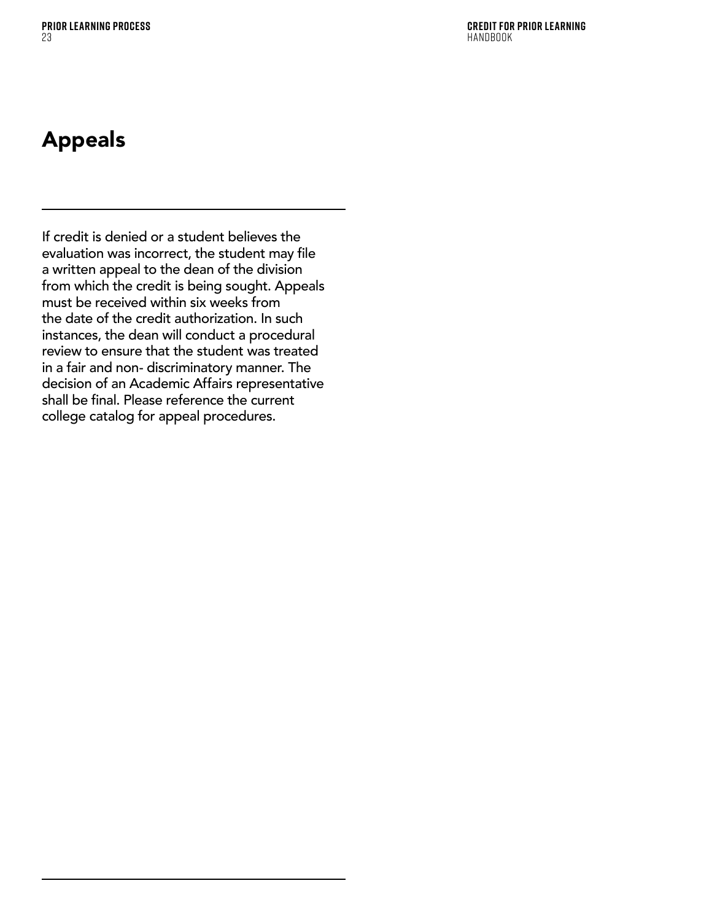**Credit for Prior Learning**  HANDROOK

# <span id="page-24-0"></span>Appeals

If credit is denied or a student believes the evaluation was incorrect, the student may file a written appeal to the dean of the division from which the credit is being sought. Appeals must be received within six weeks from the date of the credit authorization. In such instances, the dean will conduct a procedural review to ensure that the student was treated in a fair and non- discriminatory manner. The decision of an Academic Affairs representative shall be final. Please reference the current college catalog for appeal procedures.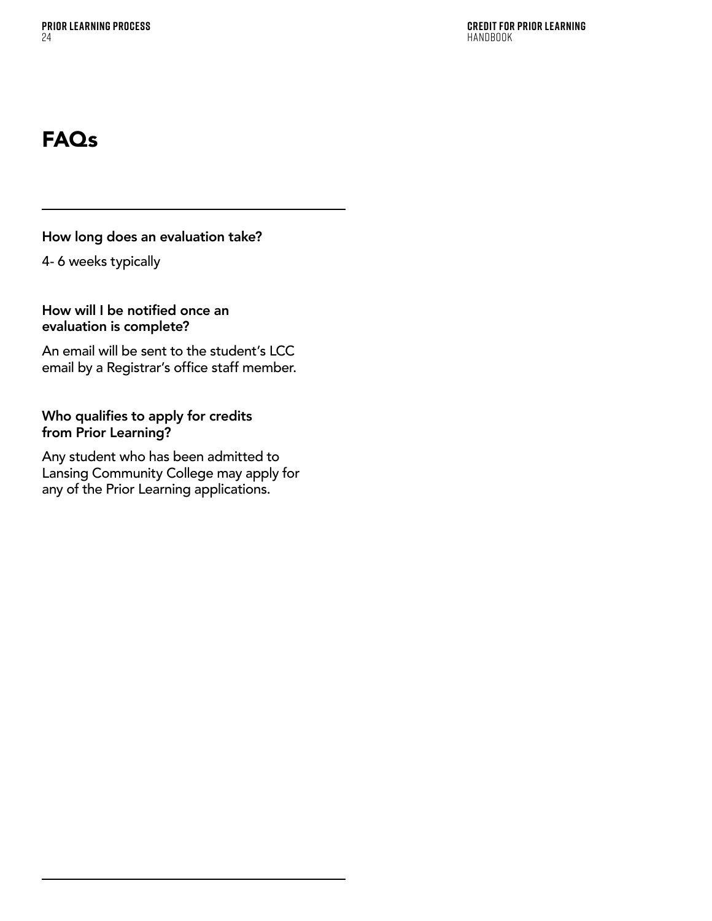# <span id="page-25-0"></span>FAQs

How long does an evaluation take?

4- 6 weeks typically

How will I be notified once an evaluation is complete?

An email will be sent to the student's LCC email by a Registrar's office staff member.

Who qualifies to apply for credits from Prior Learning?

Any student who has been admitted to Lansing Community College may apply for any of the Prior Learning applications.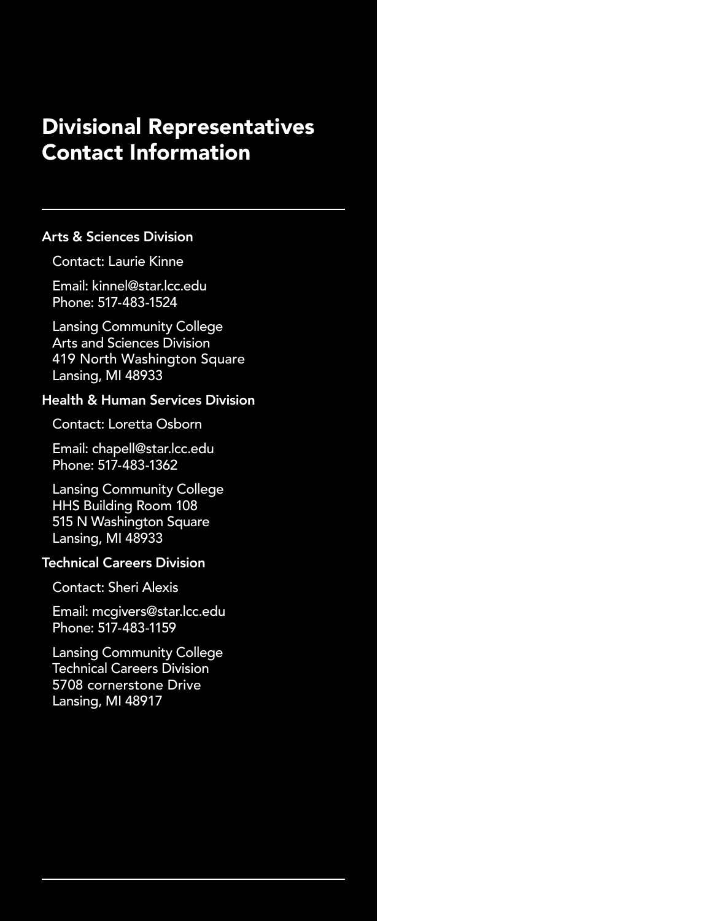# Divisional Representatives Contact Information

### Arts & Sciences Division

### Contact: Laurie Kinne

Email: kinnel@star.lcc.edu Phone: 517-483-1524

Lansing Community College Arts and Sciences Division 419 North Washington Square Lansing, MI 48933

### Health & Human Services Division

Contact: Loretta Osborn

Email: chapell@star.lcc.edu Phone: 517-483-1362

Lansing Community College HHS Building Room 108 515 N Washington Square Lansing, MI 48933

### Technical Careers Division

Contact: Sheri Alexis

Email: mcgivers@star.lcc.edu Phone: 517-483-1159

Lansing Community College Technical Careers Division 5708 cornerstone Drive Lansing, MI 48917